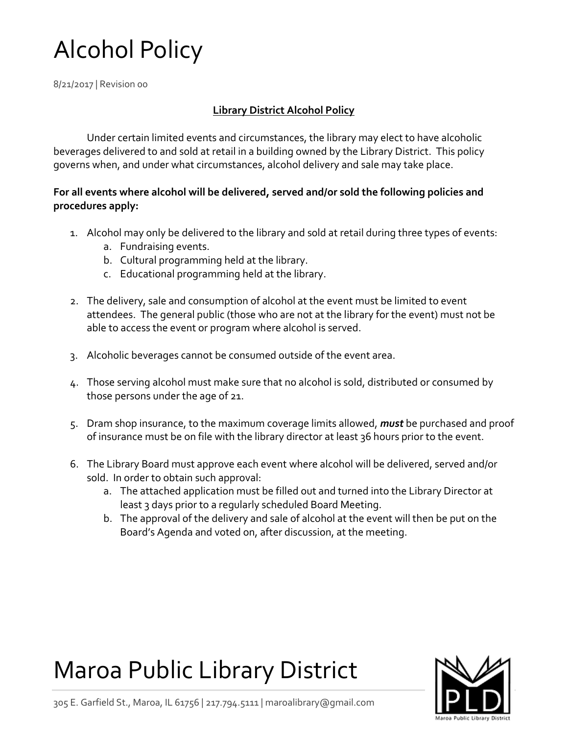# Alcohol Policy

8/21/2017 | Revision 00

### **Library District Alcohol Policy**

Under certain limited events and circumstances, the library may elect to have alcoholic beverages delivered to and sold at retail in a building owned by the Library District. This policy governs when, and under what circumstances, alcohol delivery and sale may take place.

#### **For all events where alcohol will be delivered, served and/or sold the following policies and procedures apply:**

- 1. Alcohol may only be delivered to the library and sold at retail during three types of events:
	- a. Fundraising events.
	- b. Cultural programming held at the library.
	- c. Educational programming held at the library.
- 2. The delivery, sale and consumption of alcohol at the event must be limited to event attendees. The general public (those who are not at the library for the event) must not be able to access the event or program where alcohol is served.
- 3. Alcoholic beverages cannot be consumed outside of the event area.
- 4. Those serving alcohol must make sure that no alcohol is sold, distributed or consumed by those persons under the age of 21.
- 5. Dram shop insurance, to the maximum coverage limits allowed, *must* be purchased and proof of insurance must be on file with the library director at least 36 hours prior to the event.
- 6. The Library Board must approve each event where alcohol will be delivered, served and/or sold. In order to obtain such approval:
	- a. The attached application must be filled out and turned into the Library Director at least 3 days prior to a regularly scheduled Board Meeting.
	- b. The approval of the delivery and sale of alcohol at the event will then be put on the Board's Agenda and voted on, after discussion, at the meeting.

## Maroa Public Library District



305 E. Garfield St., Maroa, IL 61756 | 217.794.5111 | maroalibrary@gmail.com